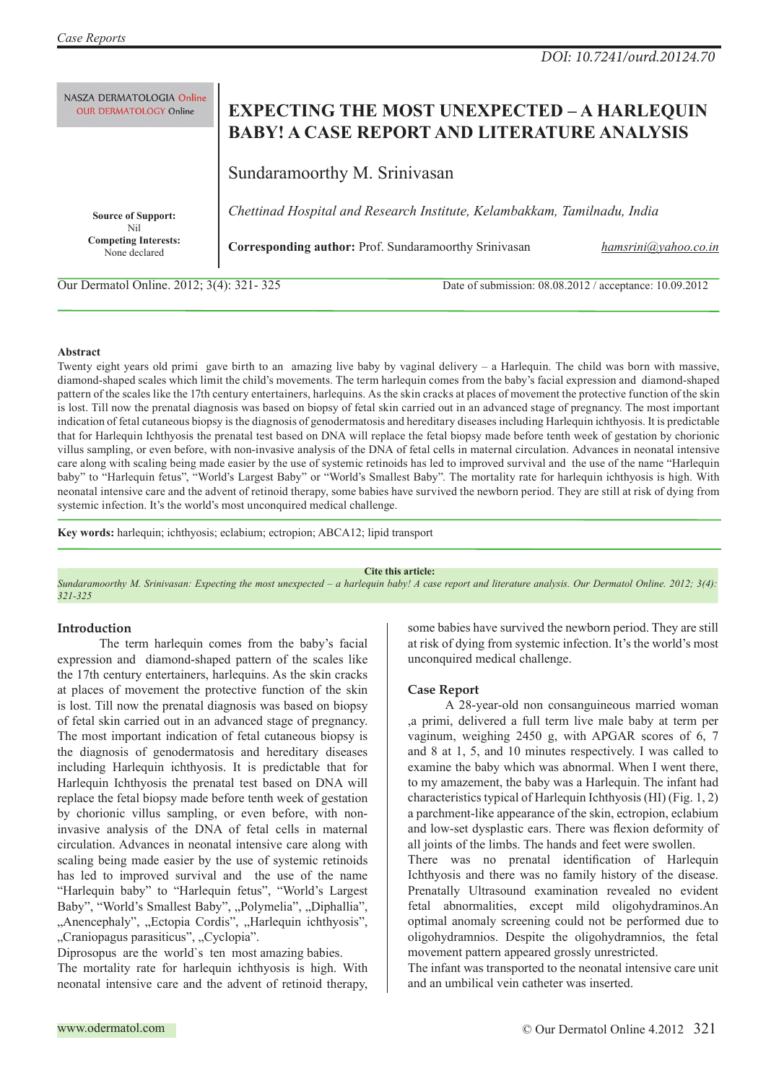NASZA DERMATOLOGIA Online **OUR DERMATOLOGY Online** 

# **EXPECTING THE MOST UNEXPECTED – A HARLEQUIN BABY! A CASE REPORT AND LITERATURE ANALYSIS**

Sundaramoorthy M. Srinivasan

**Source of Support:**  Nil **Competing Interests:**  None declared

*Chettinad Hospital and Research Institute, Kelambakkam, Tamilnadu, India*

**Corresponding author:** Prof. Sundaramoorthy Srinivasan *hamsrini@yahoo.co.in*

Our Dermatol Online. 2012; 3(4): 321- 325 Date of submission: 08.08.2012 / acceptance: 10.09.2012

## **Abstract**

Twenty eight years old primi gave birth to an amazing live baby by vaginal delivery – a Harlequin. The child was born with massive, diamond-shaped scales which limit the child's movements. The term harlequin comes from the baby's facial expression and diamond-shaped pattern of the scales like the 17th century entertainers, harlequins. As the skin cracks at places of movement the protective function of the skin is lost. Till now the prenatal diagnosis was based on biopsy of fetal skin carried out in an advanced stage of pregnancy. The most important indication of fetal cutaneous biopsy is the diagnosis of genodermatosis and hereditary diseases including Harlequin ichthyosis. It is predictable that for Harlequin Ichthyosis the prenatal test based on DNA will replace the fetal biopsy made before tenth week of gestation by chorionic villus sampling, or even before, with non-invasive analysis of the DNA of fetal cells in maternal circulation. Advances in neonatal intensive care along with scaling being made easier by the use of systemic retinoids has led to improved survival and the use of the name "Harlequin baby" to "Harlequin fetus", "World's Largest Baby" or "World's Smallest Baby". The mortality rate for harlequin ichthyosis is high. With neonatal intensive care and the advent of retinoid therapy, some babies have survived the newborn period. They are still at risk of dying from systemic infection. It's the world's most unconquired medical challenge.

**Key words:** harlequin; ichthyosis; eclabium; ectropion; ABCA12; lipid transport

#### **Cite this article:**

*Sundaramoorthy M. Srinivasan: Expecting the most unexpected – a harlequin baby! A case report and literature analysis. Our Dermatol Online. 2012; 3(4): 321-325*

## **Introduction**

 The term harlequin comes from the baby's facial expression and diamond-shaped pattern of the scales like the 17th century entertainers, harlequins. As the skin cracks at places of movement the protective function of the skin is lost. Till now the prenatal diagnosis was based on biopsy of fetal skin carried out in an advanced stage of pregnancy. The most important indication of fetal cutaneous biopsy is the diagnosis of genodermatosis and hereditary diseases including Harlequin ichthyosis. It is predictable that for Harlequin Ichthyosis the prenatal test based on DNA will replace the fetal biopsy made before tenth week of gestation by chorionic villus sampling, or even before, with noninvasive analysis of the DNA of fetal cells in maternal circulation. Advances in neonatal intensive care along with scaling being made easier by the use of systemic retinoids has led to improved survival and the use of the name "Harlequin baby" to "Harlequin fetus", "World's Largest Baby", "World's Smallest Baby", "Polymelia", "Diphallia", "Anencephaly", "Ectopia Cordis", "Harlequin ichthyosis", "Craniopagus parasiticus", "Cyclopia".

Diprosopus are the world`s ten most amazing babies. The mortality rate for harlequin ichthyosis is high. With neonatal intensive care and the advent of retinoid therapy,

some babies have survived the newborn period. They are still at risk of dying from systemic infection. It's the world's most unconquired medical challenge.

## **Case Report**

 A 28-year-old non consanguineous married woman ,a primi, delivered a full term live male baby at term per vaginum, weighing 2450 g, with APGAR scores of 6, 7 and 8 at 1, 5, and 10 minutes respectively. I was called to examine the baby which was abnormal. When I went there, to my amazement, the baby was a Harlequin. The infant had characteristics typical of Harlequin Ichthyosis (HI) (Fig. 1, 2) a parchment-like appearance of the skin, ectropion, eclabium and low-set dysplastic ears. There was flexion deformity of all joints of the limbs. The hands and feet were swollen.

There was no prenatal identification of Harlequin Ichthyosis and there was no family history of the disease. Prenatally Ultrasound examination revealed no evident fetal abnormalities, except mild oligohydraminos.An optimal anomaly screening could not be performed due to oligohydramnios. Despite the oligohydramnios, the fetal movement pattern appeared grossly unrestricted.

The infant was transported to the neonatal intensive care unit and an umbilical vein catheter was inserted.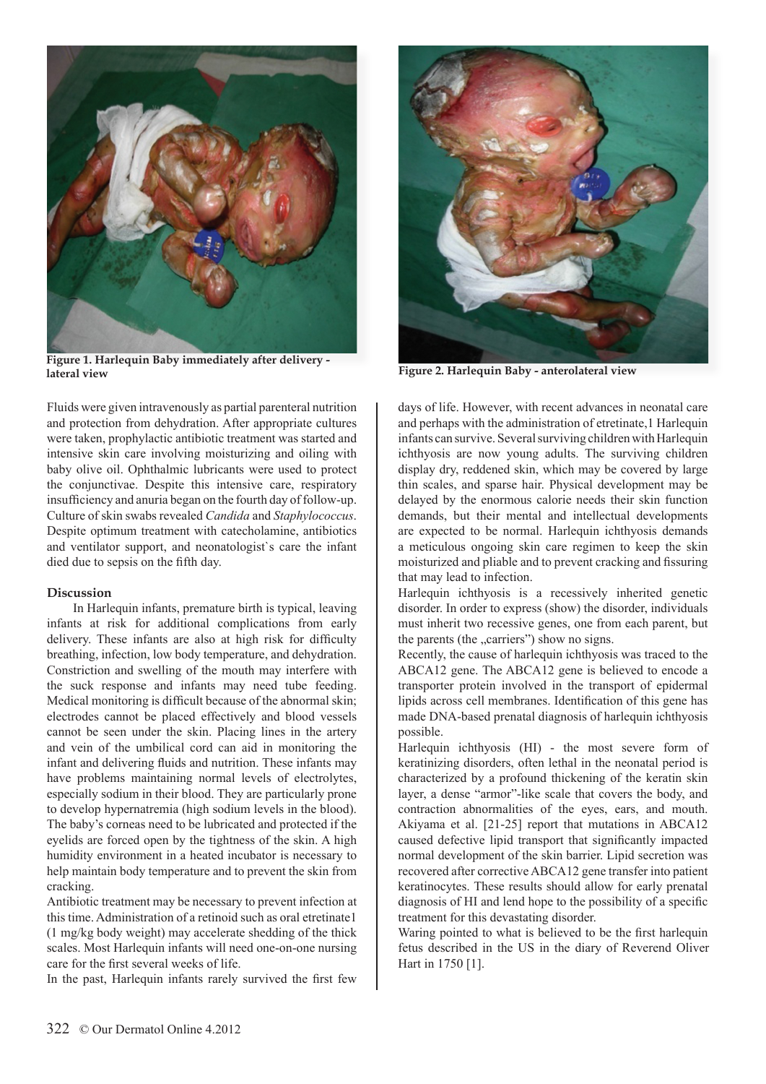

**Figure 1. Harlequin Baby immediately after delivery -** 

Fluids were given intravenously as partial parenteral nutrition and protection from dehydration. After appropriate cultures were taken, prophylactic antibiotic treatment was started and intensive skin care involving moisturizing and oiling with baby olive oil. Ophthalmic lubricants were used to protect the conjunctivae. Despite this intensive care, respiratory insufficiency and anuria began on the fourth day of follow-up. Culture of skin swabs revealed *Candida* and *Staphylococcus*. Despite optimum treatment with catecholamine, antibiotics and ventilator support, and neonatologist`s care the infant died due to sepsis on the fifth day.

## **Discussion**

 In Harlequin infants, premature birth is typical, leaving infants at risk for additional complications from early delivery. These infants are also at high risk for difficulty breathing, infection, low body temperature, and dehydration. Constriction and swelling of the mouth may interfere with the suck response and infants may need tube feeding. Medical monitoring is difficult because of the abnormal skin; electrodes cannot be placed effectively and blood vessels cannot be seen under the skin. Placing lines in the artery and vein of the umbilical cord can aid in monitoring the infant and delivering fluids and nutrition. These infants may have problems maintaining normal levels of electrolytes, especially sodium in their blood. They are particularly prone to develop hypernatremia (high sodium levels in the blood). The baby's corneas need to be lubricated and protected if the eyelids are forced open by the tightness of the skin. A high humidity environment in a heated incubator is necessary to help maintain body temperature and to prevent the skin from cracking.

Antibiotic treatment may be necessary to prevent infection at this time. Administration of a retinoid such as oral etretinate1 (1 mg/kg body weight) may accelerate shedding of the thick scales. Most Harlequin infants will need one-on-one nursing care for the first several weeks of life.

In the past, Harlequin infants rarely survived the first few



**lateral view Figure 2. Harlequin Baby - anterolateral view**

days of life. However, with recent advances in neonatal care and perhaps with the administration of etretinate, 1 Harlequin infants can survive. Several surviving children with Harlequin ichthyosis are now young adults. The surviving children display dry, reddened skin, which may be covered by large thin scales, and sparse hair. Physical development may be delayed by the enormous calorie needs their skin function demands, but their mental and intellectual developments are expected to be normal. Harlequin ichthyosis demands a meticulous ongoing skin care regimen to keep the skin moisturized and pliable and to prevent cracking and fissuring that may lead to infection.

Harlequin ichthyosis is a recessively inherited genetic disorder. In order to express (show) the disorder, individuals must inherit two recessive genes, one from each parent, but the parents (the "carriers") show no signs.

Recently, the cause of harlequin ichthyosis was traced to the ABCA12 gene. The ABCA12 gene is believed to encode a transporter protein involved in the transport of epidermal lipids across cell membranes. Identification of this gene has made DNA-based prenatal diagnosis of harlequin ichthyosis possible.

Harlequin ichthyosis (HI) - the most severe form of keratinizing disorders, often lethal in the neonatal period is characterized by a profound thickening of the keratin skin layer, a dense "armor"-like scale that covers the body, and contraction abnormalities of the eyes, ears, and mouth. Akiyama et al. [21-25] report that mutations in ABCA12 caused defective lipid transport that significantly impacted normal development of the skin barrier. Lipid secretion was recovered after corrective ABCA12 gene transfer into patient keratinocytes. These results should allow for early prenatal diagnosis of HI and lend hope to the possibility of a specific treatment for this devastating disorder.

Waring pointed to what is believed to be the first harlequin fetus described in the US in the diary of Reverend Oliver Hart in 1750 [1].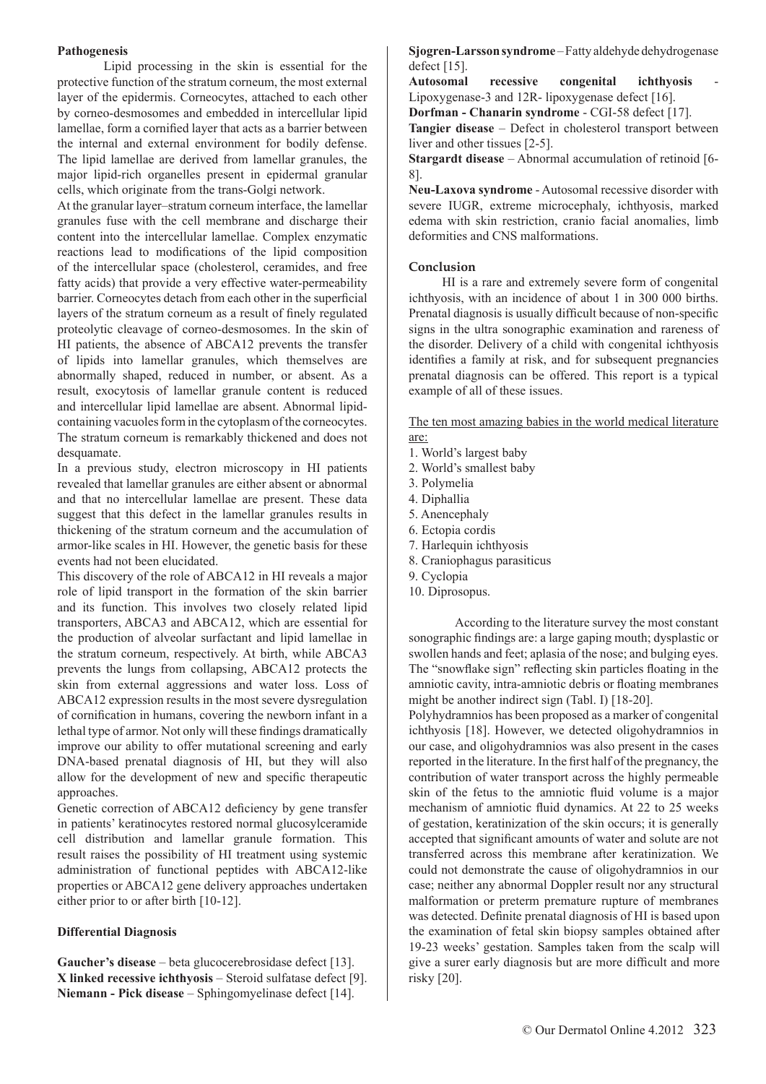## **Pathogenesis**

Lipid processing in the skin is essential for the protective function of the stratum corneum, the most external layer of the epidermis. Corneocytes, attached to each other by corneo-desmosomes and embedded in intercellular lipid lamellae, form a cornified layer that acts as a barrier between the internal and external environment for bodily defense. The lipid lamellae are derived from lamellar granules, the major lipid-rich organelles present in epidermal granular cells, which originate from the trans-Golgi network.

At the granular layer–stratum corneum interface, the lamellar granules fuse with the cell membrane and discharge their content into the intercellular lamellae. Complex enzymatic reactions lead to modifications of the lipid composition of the intercellular space (cholesterol, ceramides, and free fatty acids) that provide a very effective water-permeability barrier. Corneocytes detach from each other in the superficial layers of the stratum corneum as a result of finely regulated proteolytic cleavage of corneo-desmosomes. In the skin of HI patients, the absence of ABCA12 prevents the transfer of lipids into lamellar granules, which themselves are abnormally shaped, reduced in number, or absent. As a result, exocytosis of lamellar granule content is reduced and intercellular lipid lamellae are absent. Abnormal lipidcontaining vacuoles form in the cytoplasm of the corneocytes. The stratum corneum is remarkably thickened and does not desquamate.

In a previous study, electron microscopy in HI patients revealed that lamellar granules are either absent or abnormal and that no intercellular lamellae are present. These data suggest that this defect in the lamellar granules results in thickening of the stratum corneum and the accumulation of armor-like scales in HI. However, the genetic basis for these events had not been elucidated.

This discovery of the role of ABCA12 in HI reveals a major role of lipid transport in the formation of the skin barrier and its function. This involves two closely related lipid transporters, ABCA3 and ABCA12, which are essential for the production of alveolar surfactant and lipid lamellae in the stratum corneum, respectively. At birth, while ABCA3 prevents the lungs from collapsing, ABCA12 protects the skin from external aggressions and water loss. Loss of ABCA12 expression results in the most severe dysregulation of cornification in humans, covering the newborn infant in a lethal type of armor. Not only will these findings dramatically improve our ability to offer mutational screening and early DNA-based prenatal diagnosis of HI, but they will also allow for the development of new and specific therapeutic approaches.

Genetic correction of ABCA12 deficiency by gene transfer in patients' keratinocytes restored normal glucosylceramide cell distribution and lamellar granule formation. This result raises the possibility of HI treatment using systemic administration of functional peptides with ABCA12-like properties or ABCA12 gene delivery approaches undertaken either prior to or after birth [10-12].

## **Differential Diagnosis**

**Gaucher's disease** – beta glucocerebrosidase defect [13]. **X linked recessive ichthyosis** – Steroid sulfatase defect [9]. **Niemann - Pick disease** – Sphingomyelinase defect [14].

**Sjogren-Larsson syndrome** – Fatty aldehyde dehydrogenase defect [15].

Autosomal recessive congenital ichthyosis Lipoxygenase-3 and 12R- lipoxygenase defect [16].

**Dorfman - Chanarin syndrome** - CGI-58 defect [17].

**Tangier disease** – Defect in cholesterol transport between liver and other tissues [2-5].

**Stargardt disease** – Abnormal accumulation of retinoid [6- 8].

**Neu-Laxova syndrome** - Autosomal recessive disorder with severe IUGR, extreme microcephaly, ichthyosis, marked edema with skin restriction, cranio facial anomalies, limb deformities and CNS malformations.

## **Conclusion**

 HI is a rare and extremely severe form of congenital ichthyosis, with an incidence of about 1 in 300 000 births. Prenatal diagnosis is usually difficult because of non-specific signs in the ultra sonographic examination and rareness of the disorder. Delivery of a child with congenital ichthyosis identifies a family at risk, and for subsequent pregnancies prenatal diagnosis can be offered. This report is a typical example of all of these issues.

The ten most amazing babies in the world medical literature are:

- 1. World's largest baby
- 2. World's smallest baby
- 3. Polymelia
- 4. Diphallia
- 5. Anencephaly
- 6. Ectopia cordis
- 7. Harlequin ichthyosis
- 8. Craniophagus parasiticus
- 9. Cyclopia
- 10. Diprosopus.

According to the literature survey the most constant sonographic findings are: a large gaping mouth; dysplastic or swollen hands and feet; aplasia of the nose; and bulging eyes. The "snowflake sign" reflecting skin particles floating in the amniotic cavity, intra-amniotic debris or floating membranes might be another indirect sign (Tabl. I) [18-20].

Polyhydramnios has been proposed as a marker of congenital ichthyosis [18]. However, we detected oligohydramnios in our case, and oligohydramnios was also present in the cases reported in the literature. In the first half of the pregnancy, the contribution of water transport across the highly permeable skin of the fetus to the amniotic fluid volume is a major mechanism of amniotic fluid dynamics. At 22 to 25 weeks of gestation, keratinization of the skin occurs; it is generally accepted that significant amounts of water and solute are not transferred across this membrane after keratinization. We could not demonstrate the cause of oligohydramnios in our case; neither any abnormal Doppler result nor any structural malformation or preterm premature rupture of membranes was detected. Definite prenatal diagnosis of HI is based upon the examination of fetal skin biopsy samples obtained after 19-23 weeks' gestation. Samples taken from the scalp will give a surer early diagnosis but are more difficult and more risky [20].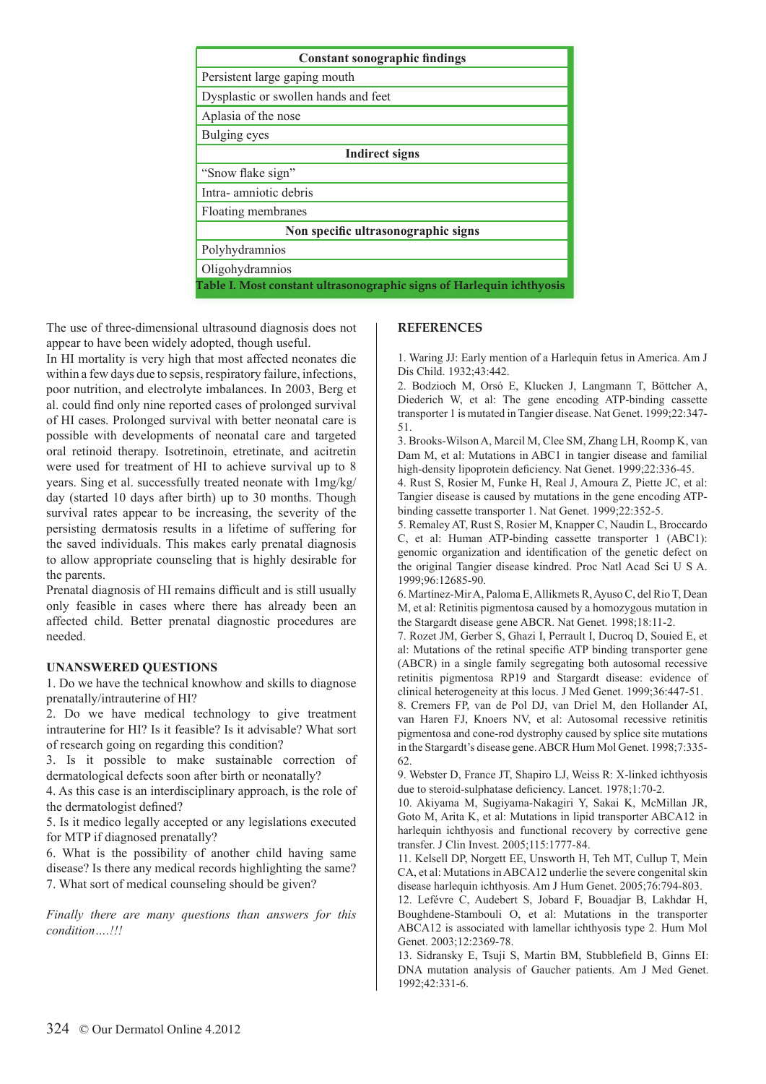| <b>Constant sonographic findings</b>                                  |
|-----------------------------------------------------------------------|
| Persistent large gaping mouth                                         |
| Dysplastic or swollen hands and feet                                  |
| Aplasia of the nose                                                   |
| Bulging eyes                                                          |
| <b>Indirect signs</b>                                                 |
| "Snow flake sign"                                                     |
| Intra-amniotic debris                                                 |
| Floating membranes                                                    |
| Non specific ultrasonographic signs                                   |
| Polyhydramnios                                                        |
| Oligohydramnios                                                       |
| Table I. Most constant ultrasonographic signs of Harlequin ichthyosis |

The use of three-dimensional ultrasound diagnosis does not appear to have been widely adopted, though useful.

In HI mortality is very high that most affected neonates die within a few days due to sepsis, respiratory failure, infections, poor nutrition, and electrolyte imbalances. In 2003, Berg et al. could find only nine reported cases of prolonged survival of HI cases. Prolonged survival with better neonatal care is possible with developments of neonatal care and targeted oral retinoid therapy. Isotretinoin, etretinate, and acitretin were used for treatment of HI to achieve survival up to 8 years. Sing et al. successfully treated neonate with 1mg/kg/ day (started 10 days after birth) up to 30 months. Though survival rates appear to be increasing, the severity of the persisting dermatosis results in a lifetime of suffering for the saved individuals. This makes early prenatal diagnosis to allow appropriate counseling that is highly desirable for the parents.

Prenatal diagnosis of HI remains difficult and is still usually only feasible in cases where there has already been an affected child. Better prenatal diagnostic procedures are needed.

## **UNANSWERED QUESTIONS**

1. Do we have the technical knowhow and skills to diagnose prenatally/intrauterine of HI?

2. Do we have medical technology to give treatment intrauterine for HI? Is it feasible? Is it advisable? What sort of research going on regarding this condition?

3. Is it possible to make sustainable correction of dermatological defects soon after birth or neonatally?

4. As this case is an interdisciplinary approach, is the role of the dermatologist defined?

5. Is it medico legally accepted or any legislations executed for MTP if diagnosed prenatally?

6. What is the possibility of another child having same disease? Is there any medical records highlighting the same? 7. What sort of medical counseling should be given?

*Finally there are many questions than answers for this condition….!!!*

## **REFERENCES**

1. Waring JJ: Early mention of a Harlequin fetus in America. Am J Dis Child. 1932;43:442.

2. Bodzioch M, Orsó E, Klucken J, Langmann T, Böttcher A, Diederich W, et al: The gene encoding ATP-binding cassette transporter 1 is mutated in Tangier disease. Nat Genet. 1999;22:347- 51.

3. Brooks-Wilson A, Marcil M, Clee SM, Zhang LH, Roomp K, van Dam M, et al: Mutations in ABC1 in tangier disease and familial high-density lipoprotein deficiency. Nat Genet. 1999;22:336-45.

4. Rust S, Rosier M, Funke H, Real J, Amoura Z, Piette JC, et al: Tangier disease is caused by mutations in the gene encoding ATPbinding cassette transporter 1. Nat Genet. 1999;22:352-5.

5. Remaley AT, Rust S, Rosier M, Knapper C, Naudin L, Broccardo C, et al: Human ATP-binding cassette transporter 1 (ABC1): genomic organization and identification of the genetic defect on the original Tangier disease kindred. Proc Natl Acad Sci U S A. 1999;96:12685-90.

6. Martínez-Mir A, Paloma E, Allikmets R, Ayuso C, del Rio T, Dean M, et al: Retinitis pigmentosa caused by a homozygous mutation in the Stargardt disease gene ABCR. Nat Genet. 1998;18:11-2.

7. Rozet JM, Gerber S, Ghazi I, Perrault I, Ducroq D, Souied E, et al: Mutations of the retinal specific ATP binding transporter gene (ABCR) in a single family segregating both autosomal recessive retinitis pigmentosa RP19 and Stargardt disease: evidence of clinical heterogeneity at this locus. J Med Genet. 1999;36:447-51.

8. Cremers FP, van de Pol DJ, van Driel M, den Hollander AI, van Haren FJ, Knoers NV, et al: Autosomal recessive retinitis pigmentosa and cone-rod dystrophy caused by splice site mutations in the Stargardt's disease gene. ABCR Hum Mol Genet. 1998;7:335- 62.

9. Webster D, France JT, Shapiro LJ, Weiss R: X-linked ichthyosis due to steroid-sulphatase deficiency. Lancet. 1978;1:70-2.

10. Akiyama M, Sugiyama-Nakagiri Y, Sakai K, McMillan JR, Goto M, Arita K, et al: Mutations in lipid transporter ABCA12 in harlequin ichthyosis and functional recovery by corrective gene transfer. J Clin Invest. 2005;115:1777-84.

11. Kelsell DP, Norgett EE, Unsworth H, Teh MT, Cullup T, Mein CA, et al: Mutations in ABCA12 underlie the severe congenital skin disease harlequin ichthyosis. Am J Hum Genet. 2005;76:794-803.

12. Lefévre C, Audebert S, Jobard F, Bouadjar B, Lakhdar H, Boughdene-Stambouli O, et al: Mutations in the transporter ABCA12 is associated with lamellar ichthyosis type 2. Hum Mol Genet. 2003;12:2369-78.

13. Sidransky E, Tsuji S, Martin BM, Stubblefield B, Ginns EI: DNA mutation analysis of Gaucher patients. Am J Med Genet. 1992;42:331-6.